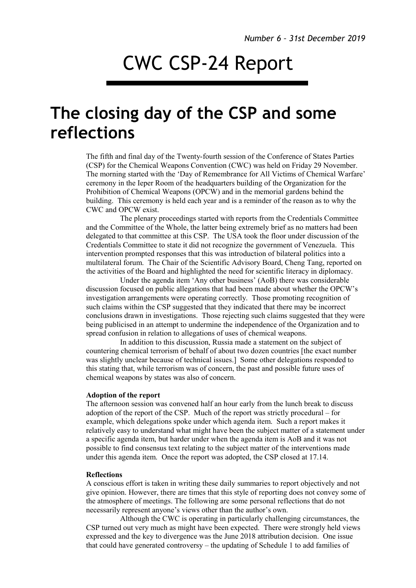## CWC CSP-24 Report

## **The closing day of the CSP and some reflections**

The fifth and final day of the Twenty-fourth session of the Conference of States Parties (CSP) for the Chemical Weapons Convention (CWC) was held on Friday 29 November. The morning started with the 'Day of Remembrance for All Victims of Chemical Warfare' ceremony in the Ieper Room of the headquarters building of the Organization for the Prohibition of Chemical Weapons (OPCW) and in the memorial gardens behind the building. This ceremony is held each year and is a reminder of the reason as to why the CWC and OPCW exist.

The plenary proceedings started with reports from the Credentials Committee and the Committee of the Whole, the latter being extremely brief as no matters had been delegated to that committee at this CSP. The USA took the floor under discussion of the Credentials Committee to state it did not recognize the government of Venezuela. This intervention prompted responses that this was introduction of bilateral politics into a multilateral forum. The Chair of the Scientific Advisory Board, Cheng Tang, reported on the activities of the Board and highlighted the need for scientific literacy in diplomacy.

Under the agenda item 'Any other business' (AoB) there was considerable discussion focused on public allegations that had been made about whether the OPCW's investigation arrangements were operating correctly. Those promoting recognition of such claims within the CSP suggested that they indicated that there may be incorrect conclusions drawn in investigations. Those rejecting such claims suggested that they were being publicised in an attempt to undermine the independence of the Organization and to spread confusion in relation to allegations of uses of chemical weapons.

In addition to this discussion, Russia made a statement on the subject of countering chemical terrorism of behalf of about two dozen countries [the exact number was slightly unclear because of technical issues.] Some other delegations responded to this stating that, while terrorism was of concern, the past and possible future uses of chemical weapons by states was also of concern.

## **Adoption of the report**

The afternoon session was convened half an hour early from the lunch break to discuss adoption of the report of the CSP. Much of the report was strictly procedural – for example, which delegations spoke under which agenda item. Such a report makes it relatively easy to understand what might have been the subject matter of a statement under a specific agenda item, but harder under when the agenda item is AoB and it was not possible to find consensus text relating to the subject matter of the interventions made under this agenda item. Once the report was adopted, the CSP closed at 17.14.

## **Reflections**

A conscious effort is taken in writing these daily summaries to report objectively and not give opinion. However, there are times that this style of reporting does not convey some of the atmosphere of meetings. The following are some personal reflections that do not necessarily represent anyone's views other than the author's own.

Although the CWC is operating in particularly challenging circumstances, the CSP turned out very much as might have been expected. There were strongly held views expressed and the key to divergence was the June 2018 attribution decision. One issue that could have generated controversy – the updating of Schedule 1 to add families of